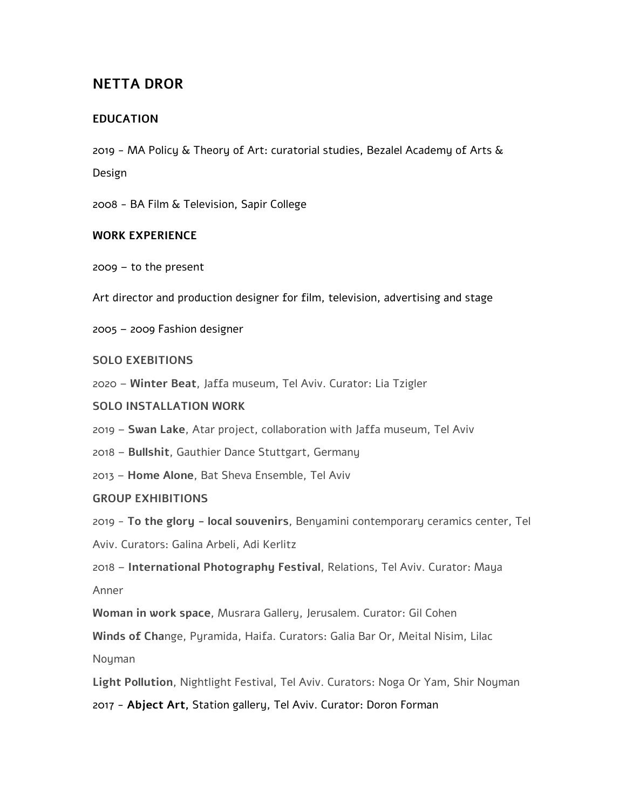# **NETTA DROR**

## **EDUCATION**

2019 - MA Policy & Theory of Art: curatorial studies, Bezalel Academy of Arts & Design

2008 - BA Film & Television, Sapir College

#### **WORK EXPERIENCE**

2009 – to the present

Art director and production designer for film, television, advertising and stage

2005 – 2009 Fashion designer

#### **SOLO EXEBITIONS**

2020 – **Winter Beat**, Jaffa museum, Tel Aviv. Curator: Lia Tzigler

## **SOLO INSTALLATION WORK**

- 2019 **Swan Lake**, Atar project, collaboration with Jaffa museum, Tel Aviv
- 2018 **Bullshit**, Gauthier Dance Stuttgart, Germany
- 2013 **Home Alone**, Bat Sheva Ensemble, Tel Aviv

## **GROUP EXHIBITIONS**

2019 - **To the glory - local souvenirs**, Benyamini contemporary ceramics center, Tel

Aviv. Curators: Galina Arbeli, Adi Kerlitz

2018 – **International Photography Festival**, Relations, Tel Aviv. Curator: Maya Anner

**Woman in work space**, Musrara Gallery, Jerusalem. Curator: Gil Cohen

**Winds of Cha**nge, Pyramida, Haifa. Curators: Galia Bar Or, Meital Nisim, Lilac

Noyman

**Light Pollution**, Nightlight Festival, Tel Aviv. Curators: Noga Or Yam, Shir Noyman

2017 - **Abject Art,** Station gallery, Tel Aviv. Curator: Doron Forman